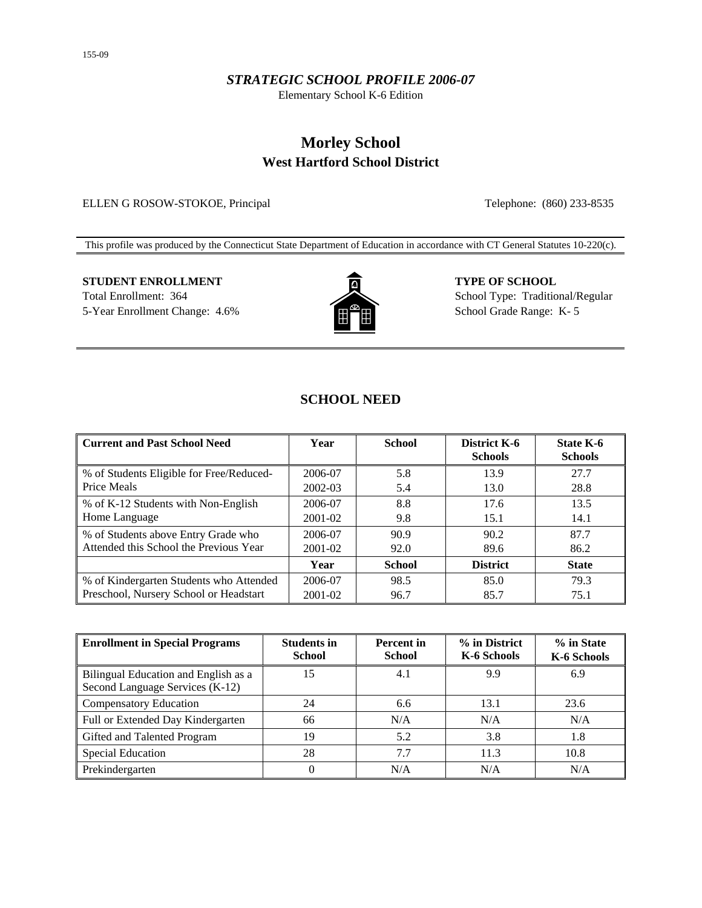### *STRATEGIC SCHOOL PROFILE 2006-07*

Elementary School K-6 Edition

# **Morley School West Hartford School District**

ELLEN G ROSOW-STOKOE, Principal Telephone: (860) 233-8535

This profile was produced by the Connecticut State Department of Education in accordance with CT General Statutes 10-220(c).

# **STUDENT ENROLLMENT TYPE OF SCHOOL** Total Enrollment: 364 School Type: Traditional/Regular



5-Year Enrollment Change: 4.6% School Grade Range: K- 5

## **SCHOOL NEED**

| <b>Current and Past School Need</b>      | Year    | <b>School</b> | District K-6<br><b>Schools</b> | State K-6<br><b>Schools</b> |
|------------------------------------------|---------|---------------|--------------------------------|-----------------------------|
| % of Students Eligible for Free/Reduced- | 2006-07 | 5.8           | 13.9                           | 27.7                        |
| Price Meals                              | 2002-03 | 5.4           | 13.0                           | 28.8                        |
| % of K-12 Students with Non-English      | 2006-07 | 8.8           | 17.6                           | 13.5                        |
| Home Language                            | 2001-02 | 9.8           | 15.1                           | 14.1                        |
| % of Students above Entry Grade who      | 2006-07 | 90.9          | 90.2                           | 87.7                        |
| Attended this School the Previous Year   | 2001-02 | 92.0          | 89.6                           | 86.2                        |
|                                          | Year    | <b>School</b> | <b>District</b>                | <b>State</b>                |
| % of Kindergarten Students who Attended  | 2006-07 | 98.5          | 85.0                           | 79.3                        |
| Preschool, Nursery School or Headstart   | 2001-02 | 96.7          | 85.7                           | 75.1                        |

| <b>Enrollment in Special Programs</b>                                   | <b>Students in</b><br><b>School</b> | <b>Percent</b> in<br>School | % in District<br>K-6 Schools | % in State<br>K-6 Schools |
|-------------------------------------------------------------------------|-------------------------------------|-----------------------------|------------------------------|---------------------------|
| Bilingual Education and English as a<br>Second Language Services (K-12) | 15                                  | 4.1                         | 9.9                          | 6.9                       |
| Compensatory Education                                                  | 24                                  | 6.6                         | 13.1                         | 23.6                      |
| Full or Extended Day Kindergarten                                       | 66                                  | N/A                         | N/A                          | N/A                       |
| Gifted and Talented Program                                             | 19                                  | 5.2                         | 3.8                          | 1.8                       |
| <b>Special Education</b>                                                | 28                                  | 7.7                         | 11.3                         | 10.8                      |
| Prekindergarten                                                         | $_{0}$                              | N/A                         | N/A                          | N/A                       |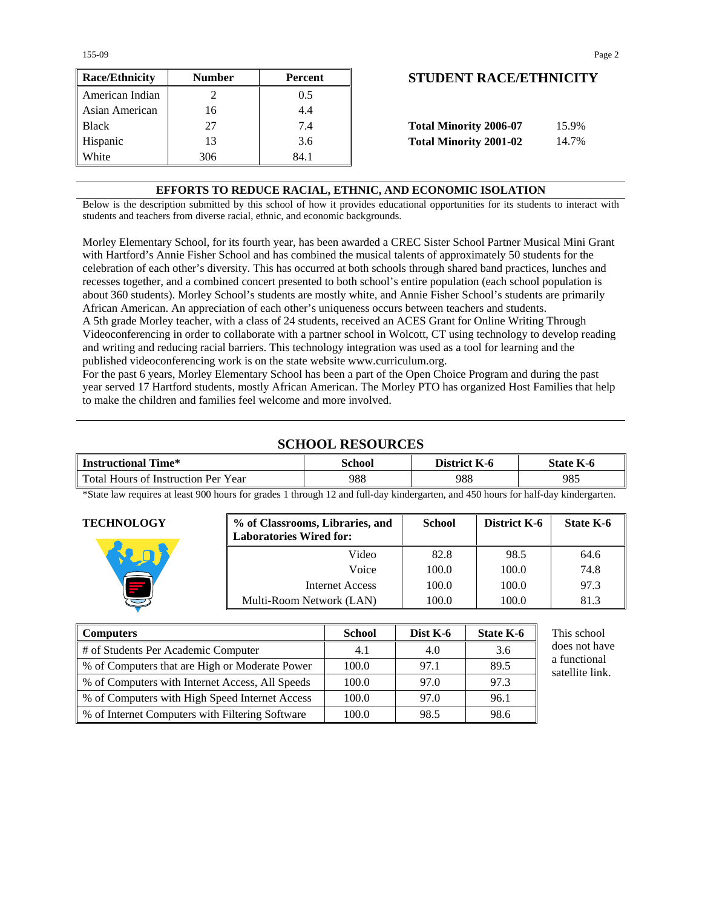155-09 Page 2

| <b>Race/Ethnicity</b> | <b>Number</b> | Percent | <b>STUDENT RACE/ETHNICIT</b>           |
|-----------------------|---------------|---------|----------------------------------------|
| American Indian       |               | 0.5     |                                        |
| Asian American        | 16            | 4.4     |                                        |
| <b>Black</b>          | 27            | 7.4     | <b>Total Minority 2006-07</b><br>15.9% |
| Hispanic              | 13            | 3.6     | <b>Total Minority 2001-02</b><br>14.7% |
| White                 | 306           | 84.1    |                                        |

## **Race/Ethnicity Number Percent STUDENT RACE/ETHNICITY**

| <b>Total Minority 2006-07</b> | 15.9% |
|-------------------------------|-------|
| <b>Total Minority 2001-02</b> | 14.7% |

### **EFFORTS TO REDUCE RACIAL, ETHNIC, AND ECONOMIC ISOLATION**

Below is the description submitted by this school of how it provides educational opportunities for its students to interact with students and teachers from diverse racial, ethnic, and economic backgrounds.

Morley Elementary School, for its fourth year, has been awarded a CREC Sister School Partner Musical Mini Grant with Hartford's Annie Fisher School and has combined the musical talents of approximately 50 students for the celebration of each other's diversity. This has occurred at both schools through shared band practices, lunches and recesses together, and a combined concert presented to both school's entire population (each school population is about 360 students). Morley School's students are mostly white, and Annie Fisher School's students are primarily African American. An appreciation of each other's uniqueness occurs between teachers and students. A 5th grade Morley teacher, with a class of 24 students, received an ACES Grant for Online Writing Through Videoconferencing in order to collaborate with a partner school in Wolcott, CT using technology to develop reading and writing and reducing racial barriers. This technology integration was used as a tool for learning and the

published videoconferencing work is on the state website www.curriculum.org. For the past 6 years, Morley Elementary School has been a part of the Open Choice Program and during the past year served 17 Hartford students, mostly African American. The Morley PTO has organized Host Families that help to make the children and families feel welcome and more involved.

### **SCHOOL RESOURCES**

| <b>Instructional Time*</b>          | School | District K-6 | <b>State K-6</b> |
|-------------------------------------|--------|--------------|------------------|
| Total Hours of Instruction Per Year | 988    | 988          | 985              |

\*State law requires at least 900 hours for grades 1 through 12 and full-day kindergarten, and 450 hours for half-day kindergarten.

| <b>TECHNOLOGY</b> | % of Classrooms, Libraries, and<br><b>Laboratories Wired for:</b> | <b>School</b> | District K-6 | State K-6 |
|-------------------|-------------------------------------------------------------------|---------------|--------------|-----------|
|                   | Video                                                             | 82.8          | 98.5         | 64.6      |
|                   | Voice                                                             | 100.0         | 100.0        | 74.8      |
|                   | Internet Access                                                   | 100.0         | 100.0        | 97.3      |
|                   | Multi-Room Network (LAN)                                          | 100.0         | 100.0        | 81.3      |

| <b>Computers</b>                                | School | Dist $K-6$ | State K-6 |
|-------------------------------------------------|--------|------------|-----------|
| # of Students Per Academic Computer             | 4.1    | 4.0        | 3.6       |
| % of Computers that are High or Moderate Power  | 100.0  | 97.1       | 89.5      |
| % of Computers with Internet Access, All Speeds | 100.0  | 97.0       | 97.3      |
| % of Computers with High Speed Internet Access  | 100.0  | 97.0       | 96.1      |
| % of Internet Computers with Filtering Software | 100.0  | 98.5       | 98.6      |

This school does not have a functional satellite link.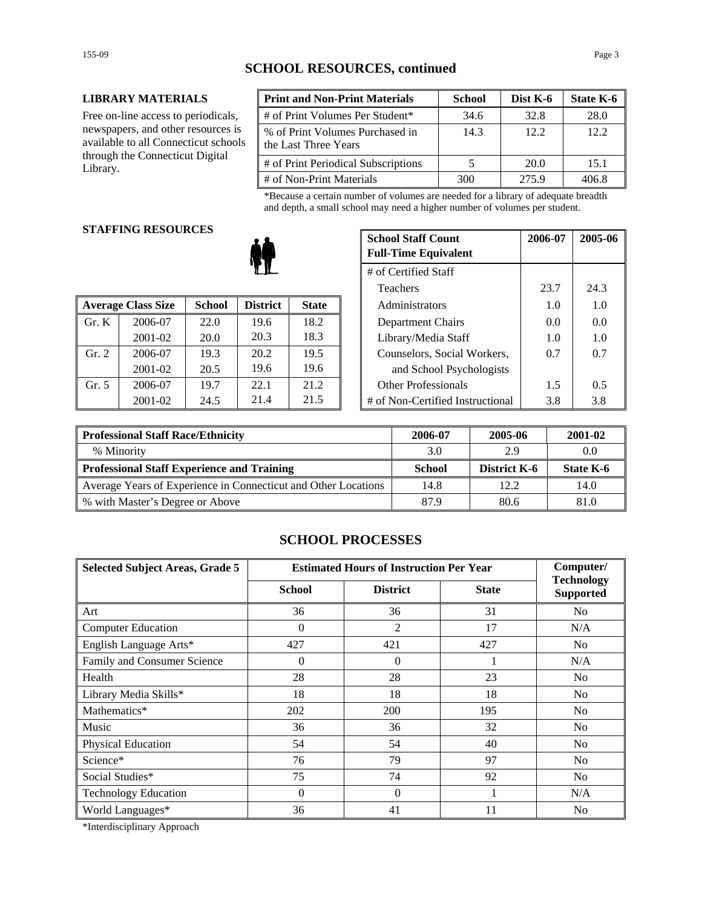### **SCHOOL RESOURCES, continued**

#### **LIBRARY MATERIALS**

Free on-line access to periodicals, newspapers, and other resources is available to all Connecticut schools through the Connecticut Digital Library.

| <b>Print and Non-Print Materials</b>                    | <b>School</b> | Dist K-6 | State K-6 |
|---------------------------------------------------------|---------------|----------|-----------|
| # of Print Volumes Per Student*                         | 34.6          | 32.8     | 28.0      |
| % of Print Volumes Purchased in<br>the Last Three Years | 14.3          | 12.2     | 12.2.     |
| # of Print Periodical Subscriptions                     |               | 20.0     | 15.1      |
| # of Non-Print Materials                                | 300           | 275.9    | 406.8     |

\*Because a certain number of volumes are needed for a library of adequate breadth and depth, a small school may need a higher number of volumes per student.

#### **STAFFING RESOURCES**

|       |                           |               |                 |              |                                  | --- | -             |
|-------|---------------------------|---------------|-----------------|--------------|----------------------------------|-----|---------------|
|       | <b>Average Class Size</b> | <b>School</b> | <b>District</b> | <b>State</b> | Administrators                   | 1.0 | 1.0           |
| Gr. K | 2006-07                   | 22.0          | 19.6            | 18.2         | Department Chairs                | 0.0 | 0.0           |
|       | 2001-02                   | 20.0          | 20.3            | 18.3         | Library/Media Staff              | 1.0 | 1.0           |
| Gr. 2 | 2006-07                   | 19.3          | 20.2            | 19.5         | Counselors, Social Workers,      | 0.7 | 0.7           |
|       | 2001-02                   | 20.5          | 19.6            | 19.6         | and School Psychologists         |     |               |
| Gr. 5 | 2006-07                   | 19.7          | 22.1            | 21.2         | <b>Other Professionals</b>       | 1.5 | $0.5^{\circ}$ |
|       | 2001-02                   | 24.5          | 21.4            | 21.5         | # of Non-Certified Instructional | 3.8 | 3.8           |

| G KESUUKUES |               |                 | <b>School Staff Count</b><br><b>Full-Time Equivalent</b> | 2006-07                     | 2005-06                          |      |      |
|-------------|---------------|-----------------|----------------------------------------------------------|-----------------------------|----------------------------------|------|------|
|             |               |                 |                                                          |                             | # of Certified Staff             |      |      |
|             |               |                 |                                                          |                             | <b>Teachers</b>                  | 23.7 | 24.3 |
| 'lass Size  | <b>School</b> | <b>District</b> | <b>State</b>                                             |                             | Administrators                   | 1.0  | 1.0  |
| 2006-07     | 22.0          | 19.6            | 18.2                                                     |                             | Department Chairs                | 0.0  | 0.0  |
| 2001-02     | 20.0          | 20.3            | 18.3                                                     |                             | Library/Media Staff              | 1.0  | 1.0  |
| 2006-07     | 19.3          | 20.2            | 19.5                                                     | Counselors, Social Workers, |                                  | 0.7  | 0.7  |
| 2001-02     | 20.5          | 19.6            | 19.6                                                     |                             | and School Psychologists         |      |      |
| 2006-07     | 19.7          | 22.1            | 21.2                                                     |                             | <b>Other Professionals</b>       | 1.5  | 0.5  |
| 2001-02     | 24.5          | 21.4            | 21.5                                                     |                             | # of Non-Certified Instructional | 3.8  | 3.8  |

| <b>Professional Staff Race/Ethnicity</b>                       | 2006-07 | 2005-06             | 2001-02   |
|----------------------------------------------------------------|---------|---------------------|-----------|
| % Minority                                                     | 3.0     | 2.9                 | 0.0       |
| <b>Professional Staff Experience and Training</b>              | School  | <b>District K-6</b> | State K-6 |
| Average Years of Experience in Connecticut and Other Locations | 14.8    | 12.2                | 14.0      |
| ■ % with Master's Degree or Above                              | 87.9    | 80.6                | 81.0      |

### **SCHOOL PROCESSES**

| <b>Selected Subject Areas, Grade 5</b> | <b>Estimated Hours of Instruction Per Year</b> |                 |              | Computer/                             |
|----------------------------------------|------------------------------------------------|-----------------|--------------|---------------------------------------|
|                                        | <b>School</b>                                  | <b>District</b> | <b>State</b> | <b>Technology</b><br><b>Supported</b> |
| Art                                    | 36                                             | 36              | 31           | N <sub>o</sub>                        |
| <b>Computer Education</b>              | $\Omega$                                       | 2               | 17           | N/A                                   |
| English Language Arts*                 | 427                                            | 421             | 427          | No.                                   |
| Family and Consumer Science            | $\overline{0}$                                 | $\Omega$        |              | N/A                                   |
| Health                                 | 28                                             | 28              | 23           | N <sub>o</sub>                        |
| Library Media Skills*                  | 18                                             | 18              | 18           | N <sub>0</sub>                        |
| Mathematics*                           | 202                                            | 200             | 195          | N <sub>o</sub>                        |
| Music                                  | 36                                             | 36              | 32           | N <sub>o</sub>                        |
| Physical Education                     | 54                                             | 54              | 40           | N <sub>o</sub>                        |
| Science*                               | 76                                             | 79              | 97           | N <sub>0</sub>                        |
| Social Studies*                        | 75                                             | 74              | 92           | N <sub>o</sub>                        |
| <b>Technology Education</b>            | $\Omega$                                       | $\Omega$        |              | N/A                                   |
| World Languages*                       | 36                                             | 41              | 11           | N <sub>0</sub>                        |

\*Interdisciplinary Approach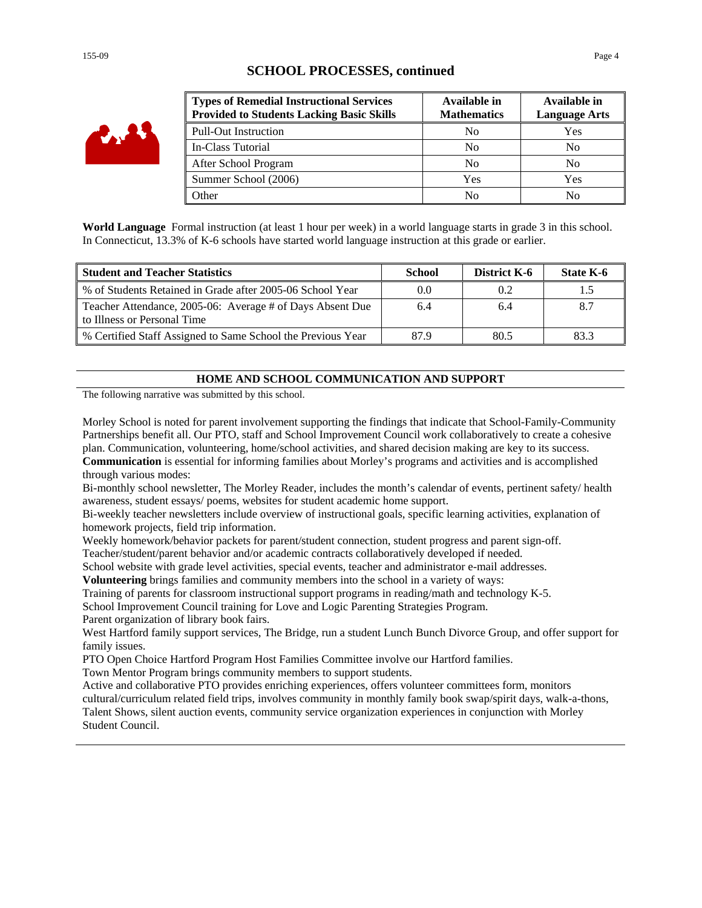### **SCHOOL PROCESSES, continued**

| <b>Types of Remedial Instructional Services</b><br><b>Provided to Students Lacking Basic Skills</b> | Available in<br><b>Mathematics</b> | Available in<br><b>Language Arts</b> |
|-----------------------------------------------------------------------------------------------------|------------------------------------|--------------------------------------|
| <b>Pull-Out Instruction</b>                                                                         | N <sub>0</sub>                     | Yes                                  |
| In-Class Tutorial                                                                                   | N <sub>0</sub>                     | No                                   |
| After School Program                                                                                | No                                 | No                                   |
| Summer School (2006)                                                                                | Yes                                | Yes                                  |
| Other                                                                                               | N <sub>0</sub>                     | No                                   |

**World Language** Formal instruction (at least 1 hour per week) in a world language starts in grade 3 in this school. In Connecticut, 13.3% of K-6 schools have started world language instruction at this grade or earlier.

| <b>Student and Teacher Statistics</b>                                                    | <b>School</b> | District K-6 | State K-6 |
|------------------------------------------------------------------------------------------|---------------|--------------|-----------|
| % of Students Retained in Grade after 2005-06 School Year                                |               | 0.2          |           |
| Teacher Attendance, 2005-06: Average # of Days Absent Due<br>to Illness or Personal Time | 6.4           | 6.4          |           |
| % Certified Staff Assigned to Same School the Previous Year                              | 87.9          | 80.5         | 83.3      |

### **HOME AND SCHOOL COMMUNICATION AND SUPPORT**

The following narrative was submitted by this school.

Morley School is noted for parent involvement supporting the findings that indicate that School-Family-Community Partnerships benefit all. Our PTO, staff and School Improvement Council work collaboratively to create a cohesive plan. Communication, volunteering, home/school activities, and shared decision making are key to its success. **Communication** is essential for informing families about Morley's programs and activities and is accomplished through various modes:

Bi-monthly school newsletter, The Morley Reader, includes the month's calendar of events, pertinent safety/ health awareness, student essays/ poems, websites for student academic home support.

Bi-weekly teacher newsletters include overview of instructional goals, specific learning activities, explanation of homework projects, field trip information.

Weekly homework/behavior packets for parent/student connection, student progress and parent sign-off.

Teacher/student/parent behavior and/or academic contracts collaboratively developed if needed.

School website with grade level activities, special events, teacher and administrator e-mail addresses.

**Volunteering** brings families and community members into the school in a variety of ways:

Training of parents for classroom instructional support programs in reading/math and technology K-5.

School Improvement Council training for Love and Logic Parenting Strategies Program.

Parent organization of library book fairs.

West Hartford family support services, The Bridge, run a student Lunch Bunch Divorce Group, and offer support for family issues.

PTO Open Choice Hartford Program Host Families Committee involve our Hartford families.

Town Mentor Program brings community members to support students.

Active and collaborative PTO provides enriching experiences, offers volunteer committees form, monitors cultural/curriculum related field trips, involves community in monthly family book swap/spirit days, walk-a-thons, Talent Shows, silent auction events, community service organization experiences in conjunction with Morley Student Council.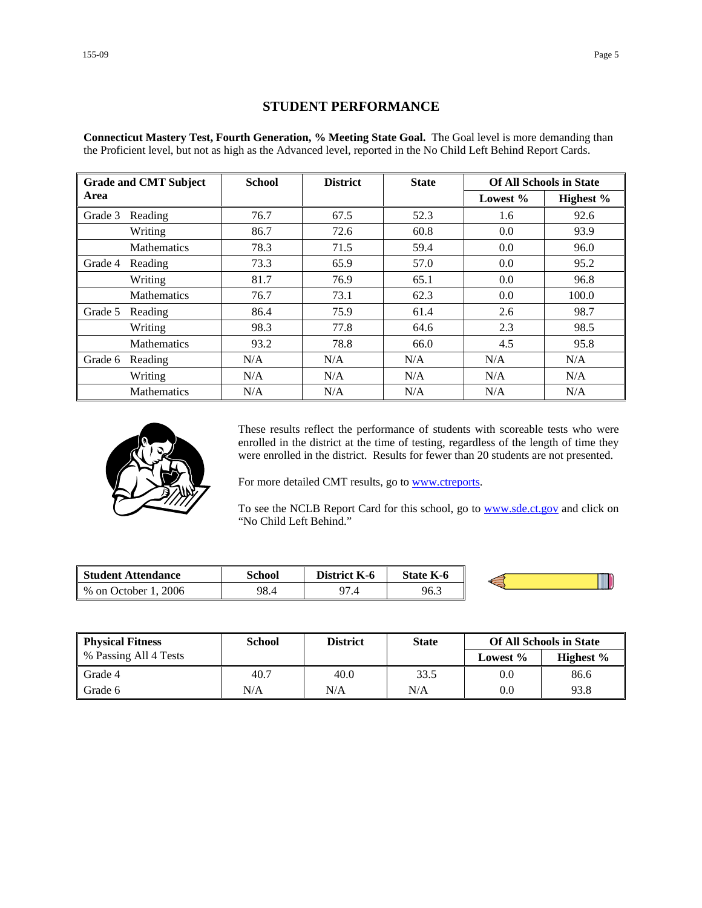### **STUDENT PERFORMANCE**

**Connecticut Mastery Test, Fourth Generation, % Meeting State Goal.** The Goal level is more demanding than the Proficient level, but not as high as the Advanced level, reported in the No Child Left Behind Report Cards.

|         | <b>Grade and CMT Subject</b> | <b>School</b> | <b>District</b> | <b>State</b> |          | <b>Of All Schools in State</b> |
|---------|------------------------------|---------------|-----------------|--------------|----------|--------------------------------|
| Area    |                              |               |                 |              | Lowest % | Highest %                      |
| Grade 3 | Reading                      | 76.7          | 67.5            | 52.3         | 1.6      | 92.6                           |
|         | Writing                      | 86.7          | 72.6            | 60.8         | 0.0      | 93.9                           |
|         | <b>Mathematics</b>           | 78.3          | 71.5            | 59.4         | 0.0      | 96.0                           |
| Grade 4 | Reading                      | 73.3          | 65.9            | 57.0         | 0.0      | 95.2                           |
|         | Writing                      | 81.7          | 76.9            | 65.1         | 0.0      | 96.8                           |
|         | <b>Mathematics</b>           | 76.7          | 73.1            | 62.3         | 0.0      | 100.0                          |
| Grade 5 | Reading                      | 86.4          | 75.9            | 61.4         | 2.6      | 98.7                           |
|         | Writing                      | 98.3          | 77.8            | 64.6         | 2.3      | 98.5                           |
|         | <b>Mathematics</b>           | 93.2          | 78.8            | 66.0         | 4.5      | 95.8                           |
| Grade 6 | Reading                      | N/A           | N/A             | N/A          | N/A      | N/A                            |
|         | Writing                      | N/A           | N/A             | N/A          | N/A      | N/A                            |
|         | <b>Mathematics</b>           | N/A           | N/A             | N/A          | N/A      | N/A                            |



These results reflect the performance of students with scoreable tests who were enrolled in the district at the time of testing, regardless of the length of time they were enrolled in the district. Results for fewer than 20 students are not presented.

For more detailed CMT results, go to **www.ctreports**.

To see the NCLB Report Card for this school, go to **[www.sde.ct.gov](http://www.sde.ct.gov/)** and click on "No Child Left Behind."

| Student Attendance     | School | K-6<br>District. | <b>State K-6</b> |  |
|------------------------|--------|------------------|------------------|--|
| 2006<br>% on October 1 | 98.4   | 07<br>, 4        | 96.3             |  |

| <b>Physical Fitness</b> | School | <b>District</b> | <b>State</b> |             | <b>Of All Schools in State</b> |
|-------------------------|--------|-----------------|--------------|-------------|--------------------------------|
| % Passing All 4 Tests   |        |                 |              | Lowest $\%$ | Highest $\%$                   |
| Grade 4                 | 40.7   | 40.0            | 33.5         | 0.0         | 86.6                           |
| Grade 6                 | N/A    | N/A             | N/A          | 0.0         | 93.8                           |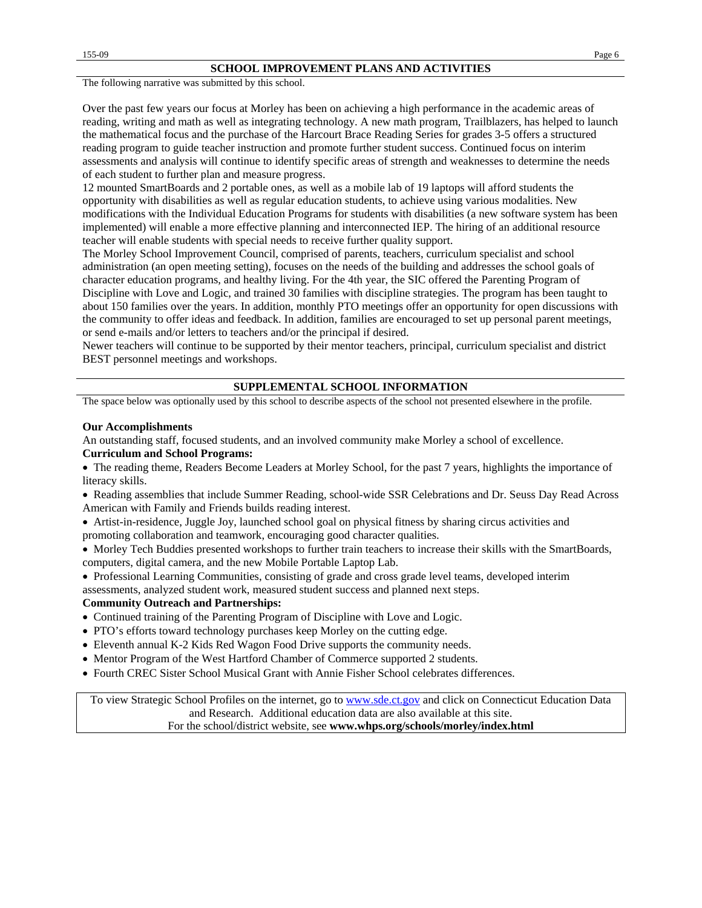#### **SCHOOL IMPROVEMENT PLANS AND ACTIVITIES**

The following narrative was submitted by this school.

Over the past few years our focus at Morley has been on achieving a high performance in the academic areas of reading, writing and math as well as integrating technology. A new math program, Trailblazers, has helped to launch the mathematical focus and the purchase of the Harcourt Brace Reading Series for grades 3-5 offers a structured reading program to guide teacher instruction and promote further student success. Continued focus on interim assessments and analysis will continue to identify specific areas of strength and weaknesses to determine the needs of each student to further plan and measure progress.

12 mounted SmartBoards and 2 portable ones, as well as a mobile lab of 19 laptops will afford students the opportunity with disabilities as well as regular education students, to achieve using various modalities. New modifications with the Individual Education Programs for students with disabilities (a new software system has been implemented) will enable a more effective planning and interconnected IEP. The hiring of an additional resource teacher will enable students with special needs to receive further quality support.

The Morley School Improvement Council, comprised of parents, teachers, curriculum specialist and school administration (an open meeting setting), focuses on the needs of the building and addresses the school goals of character education programs, and healthy living. For the 4th year, the SIC offered the Parenting Program of Discipline with Love and Logic, and trained 30 families with discipline strategies. The program has been taught to about 150 families over the years. In addition, monthly PTO meetings offer an opportunity for open discussions with the community to offer ideas and feedback. In addition, families are encouraged to set up personal parent meetings, or send e-mails and/or letters to teachers and/or the principal if desired.

Newer teachers will continue to be supported by their mentor teachers, principal, curriculum specialist and district BEST personnel meetings and workshops.

#### **SUPPLEMENTAL SCHOOL INFORMATION**

The space below was optionally used by this school to describe aspects of the school not presented elsewhere in the profile.

#### **Our Accomplishments**

An outstanding staff, focused students, and an involved community make Morley a school of excellence.

#### **Curriculum and School Programs:**

• The reading theme, Readers Become Leaders at Morley School, for the past 7 years, highlights the importance of literacy skills.

• Reading assemblies that include Summer Reading, school-wide SSR Celebrations and Dr. Seuss Day Read Across American with Family and Friends builds reading interest.

• Artist-in-residence, Juggle Joy, launched school goal on physical fitness by sharing circus activities and promoting collaboration and teamwork, encouraging good character qualities.

• Morley Tech Buddies presented workshops to further train teachers to increase their skills with the SmartBoards, computers, digital camera, and the new Mobile Portable Laptop Lab.

• Professional Learning Communities, consisting of grade and cross grade level teams, developed interim assessments, analyzed student work, measured student success and planned next steps.

#### **Community Outreach and Partnerships:**

- Continued training of the Parenting Program of Discipline with Love and Logic.
- PTO's efforts toward technology purchases keep Morley on the cutting edge.
- Eleventh annual K-2 Kids Red Wagon Food Drive supports the community needs.
- Mentor Program of the West Hartford Chamber of Commerce supported 2 students.
- Fourth CREC Sister School Musical Grant with Annie Fisher School celebrates differences.

To view Strategic School Profiles on the internet, go to [www.sde.ct.gov](http://www.sde.ct.gov/) and click on Connecticut Education Data and Research. Additional education data are also available at this site. For the school/district website, see **www.whps.org/schools/morley/index.html**